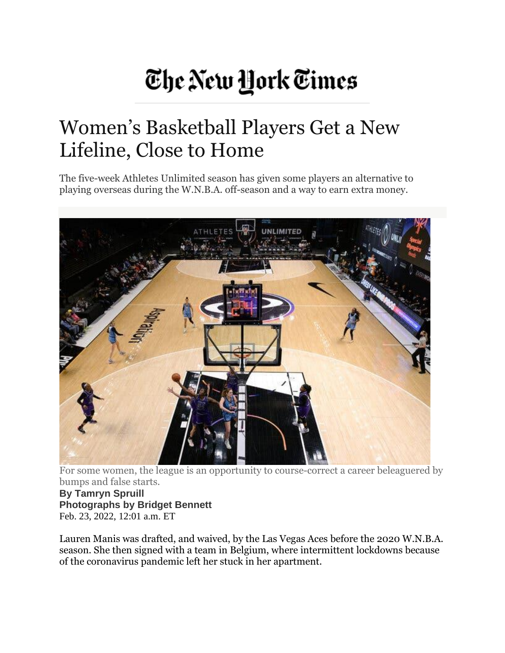## The New York Times

## Women's Basketball Players Get a New Lifeline, Close to Home

The five-week Athletes Unlimited season has given some players an alternative to playing overseas during the W.N.B.A. off-season and a way to earn extra money.



For some women, the league is an opportunity to course-correct a career beleaguered by bumps and false starts.

**By Tamryn Spruill Photographs by Bridget Bennett** Feb. 23, 2022, 12:01 a.m. ET

Lauren Manis was drafted, and waived, by the Las Vegas Aces before the 2020 W.N.B.A. season. She then signed with a team in Belgium, where intermittent lockdowns because of the coronavirus pandemic left her stuck in her apartment.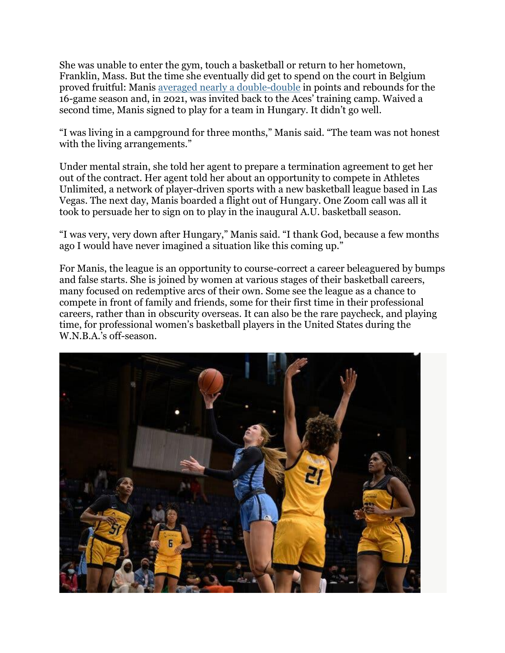She was unable to enter the gym, touch a basketball or return to her hometown, Franklin, Mass. But the time she eventually did get to spend on the court in Belgium proved fruitful: Manis averaged nearly a [double-double](https://basketball.eurobasket.com/team/Belgium/Kangoeroes-Basket-Mechelen/8115?Page=3&Stats=2021) in points and rebounds for the 16-game season and, in 2021, was invited back to the Aces' training camp. Waived a second time, Manis signed to play for a team in Hungary. It didn't go well.

"I was living in a campground for three months," Manis said. "The team was not honest with the living arrangements."

Under mental strain, she told her agent to prepare a termination agreement to get her out of the contract. Her agent told her about an opportunity to compete in Athletes Unlimited, a network of player-driven sports with a new basketball league based in Las Vegas. The next day, Manis boarded a flight out of Hungary. One Zoom call was all it took to persuade her to sign on to play in the inaugural A.U. basketball season.

"I was very, very down after Hungary," Manis said. "I thank God, because a few months ago I would have never imagined a situation like this coming up."

For Manis, the league is an opportunity to course-correct a career beleaguered by bumps and false starts. She is joined by women at various stages of their basketball careers, many focused on redemptive arcs of their own. Some see the league as a chance to compete in front of family and friends, some for their first time in their professional careers, rather than in obscurity overseas. It can also be the rare paycheck, and playing time, for professional women's basketball players in the United States during the W.N.B.A.'s off-season.

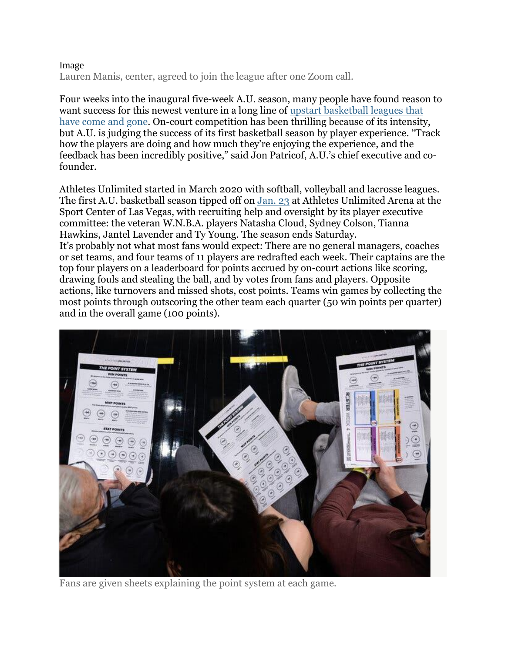## Image

Lauren Manis, center, agreed to join the league after one Zoom call.

Four weeks into the inaugural five-week A.U. season, many people have found reason to want success for this newest venture in a long line of upstart [basketball](https://www.nytimes.com/2019/09/02/magazine/wnba-atlanta-dream.html) leagues that have come and [gone.](https://www.nytimes.com/2019/09/02/magazine/wnba-atlanta-dream.html) On-court competition has been thrilling because of its intensity, but A.U. is judging the success of its first basketball season by player experience. "Track how the players are doing and how much they're enjoying the experience, and the feedback has been incredibly positive," said Jon Patricof, A.U.'s chief executive and cofounder.

Athletes Unlimited started in March 2020 with softball, volleyball and lacrosse leagues. The first A.U. basketball season tipped off on [Jan.](https://auprosports.com/basketball/schedule/2022/) 23 at Athletes Unlimited Arena at the Sport Center of Las Vegas, with recruiting help and oversight by its player executive committee: the veteran W.N.B.A. players Natasha Cloud, Sydney Colson, Tianna Hawkins, Jantel Lavender and Ty Young. The season ends Saturday. It's probably not what most fans would expect: There are no general managers, coaches or set teams, and four teams of 11 players are redrafted each week. Their captains are the top four players on a leaderboard for points accrued by on-court actions like scoring, drawing fouls and stealing the ball, and by votes from fans and players. Opposite actions, like turnovers and missed shots, cost points. Teams win games by collecting the most points through outscoring the other team each quarter (50 win points per quarter) and in the overall game (100 points).



Fans are given sheets explaining the point system at each game.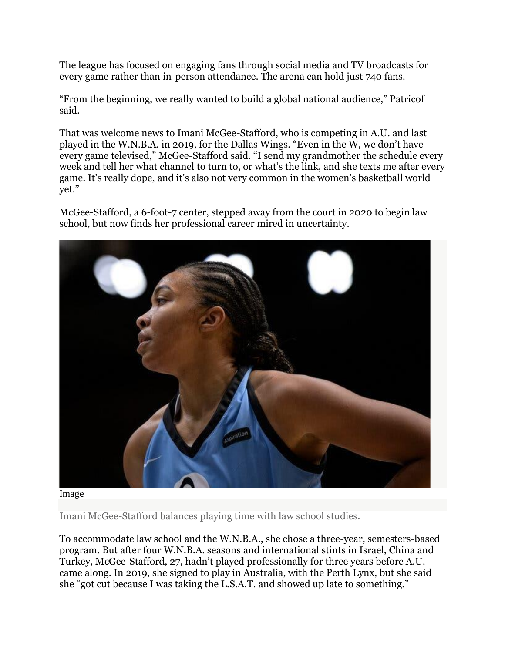The league has focused on engaging fans through social media and TV broadcasts for every game rather than in-person attendance. The arena can hold just 740 fans.

"From the beginning, we really wanted to build a global national audience," Patricof said.

That was welcome news to Imani McGee-Stafford, who is competing in A.U. and last played in the W.N.B.A. in 2019, for the Dallas Wings. "Even in the W, we don't have every game televised," McGee-Stafford said. "I send my grandmother the schedule every week and tell her what channel to turn to, or what's the link, and she texts me after every game. It's really dope, and it's also not very common in the women's basketball world yet."

McGee-Stafford, a 6-foot-7 center, stepped away from the court in 2020 to begin law school, but now finds her professional career mired in uncertainty.



Image

Imani McGee-Stafford balances playing time with law school studies.

To accommodate law school and the W.N.B.A., she chose a three-year, semesters-based program. But after four W.N.B.A. seasons and international stints in Israel, China and Turkey, McGee-Stafford, 27, hadn't played professionally for three years before A.U. came along. In 2019, she signed to play in Australia, with the Perth Lynx, but she said she "got cut because I was taking the L.S.A.T. and showed up late to something."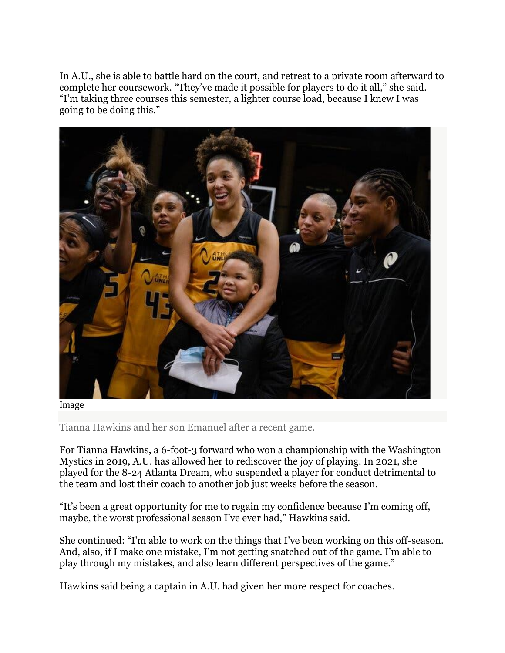In A.U., she is able to battle hard on the court, and retreat to a private room afterward to complete her coursework. "They've made it possible for players to do it all," she said. "I'm taking three courses this semester, a lighter course load, because I knew I was going to be doing this."



Image

Tianna Hawkins and her son Emanuel after a recent game.

For Tianna Hawkins, a 6-foot-3 forward who won a championship with the Washington Mystics in 2019, A.U. has allowed her to rediscover the joy of playing. In 2021, she played for the 8-24 Atlanta Dream, who suspended a player for conduct detrimental to the team and lost their coach to another job just weeks before the season.

"It's been a great opportunity for me to regain my confidence because I'm coming off, maybe, the worst professional season I've ever had," Hawkins said.

She continued: "I'm able to work on the things that I've been working on this off-season. And, also, if I make one mistake, I'm not getting snatched out of the game. I'm able to play through my mistakes, and also learn different perspectives of the game."

Hawkins said being a captain in A.U. had given her more respect for coaches.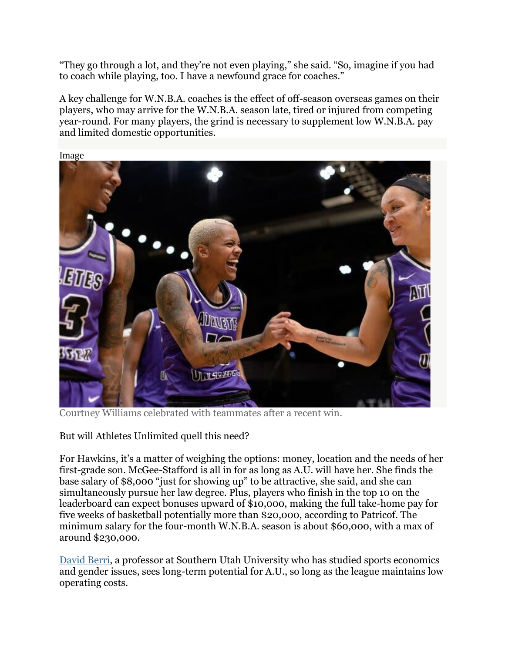"They go through a lot, and they're not even playing," she said. "So, imagine if you had to coach while playing, too. I have a newfound grace for coaches."

A key challenge for W.N.B.A. coaches is the effect of off-season overseas games on their players, who may arrive for the W.N.B.A. season late, tired or injured from competing year-round. For many players, the grind is necessary to supplement low W.N.B.A. pay and limited domestic opportunities.



Courtney Williams celebrated with teammates after a recent win.

But will Athletes Unlimited quell this need?

For Hawkins, it's a matter of weighing the options: money, location and the needs of her first-grade son. McGee-Stafford is all in for as long as A.U. will have her. She finds the base salary of \$8,000 "just for showing up" to be attractive, she said, and she can simultaneously pursue her law degree. Plus, players who finish in the top 10 on the leaderboard can expect bonuses upward of \$10,000, making the full take-home pay for five weeks of basketball potentially more than \$20,000, according to Patricof. The minimum salary for the four-month W.N.B.A. season is about \$60,000, with a max of around \$230,000.

[David](https://www.suu.edu/blog/2018/02/david-berri-meet-our-professors.html) Berri, a professor at Southern Utah University who has studied sports economics and gender issues, sees long-term potential for A.U., so long as the league maintains low operating costs.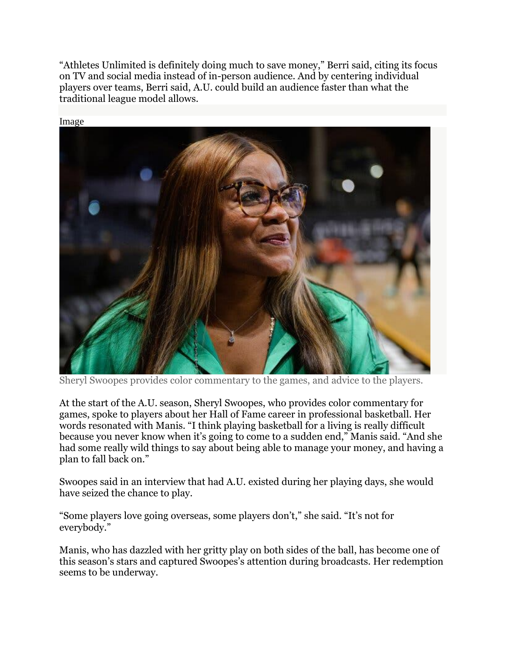"Athletes Unlimited is definitely doing much to save money," Berri said, citing its focus on TV and social media instead of in-person audience. And by centering individual players over teams, Berri said, A.U. could build an audience faster than what the traditional league model allows.



Sheryl Swoopes provides color commentary to the games, and advice to the players.

At the start of the A.U. season, Sheryl Swoopes, who provides color commentary for games, spoke to players about her Hall of Fame career in professional basketball. Her words resonated with Manis. "I think playing basketball for a living is really difficult because you never know when it's going to come to a sudden end," Manis said. "And she had some really wild things to say about being able to manage your money, and having a plan to fall back on."

Swoopes said in an interview that had A.U. existed during her playing days, she would have seized the chance to play.

"Some players love going overseas, some players don't," she said. "It's not for everybody."

Manis, who has dazzled with her gritty play on both sides of the ball, has become one of this season's stars and captured Swoopes's attention during broadcasts. Her redemption seems to be underway.

Image